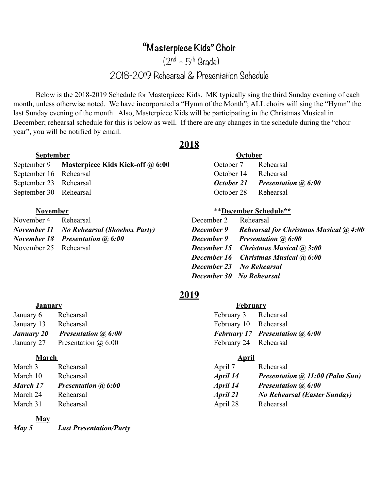# **"Masterpiece Kids" Choir**

 $(2^{nd} - 5^{th}$  Grade)

2018-2019 Rehearsal & Presentation Schedule

 Below is the 2018-2019 Schedule for Masterpiece Kids. MK typically sing the third Sunday evening of each month, unless otherwise noted. We have incorporated a "Hymn of the Month"; ALL choirs will sing the "Hymn" the last Sunday evening of the month. Also, Masterpiece Kids will be participating in the Christmas Musical in December; rehearsal schedule for this is below as well. If there are any changes in the schedule during the "choir year", you will be notified by email.

### **September October**

|                        | September 9 Masterpiece Kids Kick-off @ 6:00 | October 7            | Rehearsal                        |
|------------------------|----------------------------------------------|----------------------|----------------------------------|
| September 16 Rehearsal |                                              | October 14 Rehearsal |                                  |
| September 23 Rehearsal |                                              |                      | October 21 Presentation (a) 6:00 |
| September 30 Rehearsal |                                              | October 28 Rehearsal |                                  |

# November 4 Rehearsal

| <b>OCLUDUI</b>               |
|------------------------------|
| Rehearsal                    |
| Rehearsal                    |
| <b>Presentation (a) 6:00</b> |
| Rehearsal                    |
|                              |

#### **November** \*\***December Schedule\*\***

| November 4 Rehearsal  |                                          | December 2 Rehearsal |                                                                 |
|-----------------------|------------------------------------------|----------------------|-----------------------------------------------------------------|
|                       | November 11 No Rehearsal (Shoebox Party) |                      | <b>December 9</b> Rehearsal for Christmas Musical $\omega$ 4:00 |
|                       | November 18 Presentation (a) 6:00        |                      | <b>December 9</b> Presentation (a) 6:00                         |
| November 25 Rehearsal |                                          |                      | <b>December 15 Christmas Musical (a) 3:00</b>                   |
|                       |                                          |                      | <b>December 16 Christmas Musical (a) 6:00</b>                   |
|                       |                                          |                      | <b>December 23 No Rehearsal</b>                                 |
|                       |                                          |                      | <b>December 30 No Rehearsal</b>                                 |
|                       |                                          |                      |                                                                 |

## **2019**

#### **January February**

| January 6  | Rehearsal                    |
|------------|------------------------------|
| January 13 | Rehearsal                    |
| January 20 | <b>Presentation (a) 6:00</b> |
| January 27 | Presentation $\omega$ 6:00   |

#### **March April**

| March 3  | Rehearsal                  | April 7  | Rehearsal         |
|----------|----------------------------|----------|-------------------|
| March 10 | Rehearsal                  | April 14 | <b>Presentati</b> |
| March 17 | <b>Presentation @ 6:00</b> | April 14 | <b>Presentati</b> |
| March 24 | Rehearsal                  | April 21 | <b>No Rehea</b>   |
| March 31 | Rehearsal                  | April 28 | Rehearsal         |

#### **May**

*May 5 Last Presentation/Party*

February 3 Rehearsal February 10 Rehearsal *February 17 Presentation @ 6:00* February 24 Rehearsal

| March 3  | Rehearsal                  | April 7  | Rehearsal                              |
|----------|----------------------------|----------|----------------------------------------|
| March 10 | Rehearsal                  | April 14 | <b>Presentation @ 11:00 (Palm Sun)</b> |
| March 17 | <b>Presentation @ 6:00</b> | April 14 | <b>Presentation @ 6:00</b>             |
| March 24 | Rehearsal                  | April 21 | <b>No Rehearsal (Easter Sunday)</b>    |
| March 31 | Rehearsal                  | April 28 | Rehearsal                              |